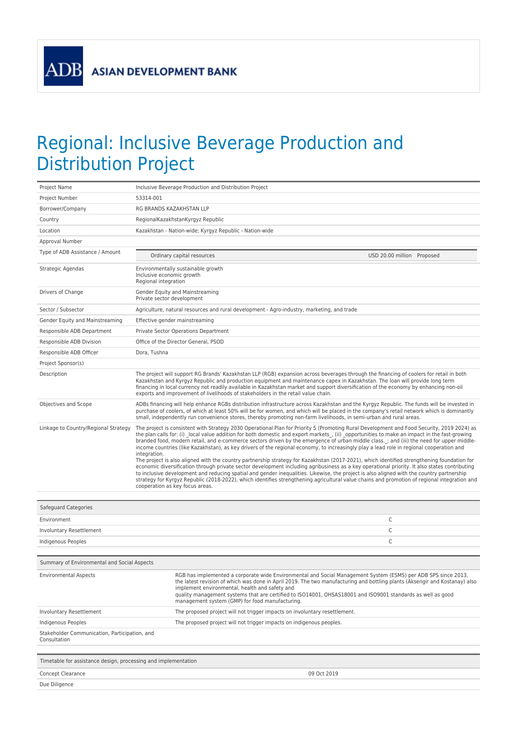## Regional: Inclusive Beverage Production and Distribution Project

| 53314-001<br>Project Number<br>RG BRANDS KAZAKHSTAN LLP<br>Borrower/Company<br>RegionalKazakhstanKyrgyz Republic<br>Country<br>Location<br>Kazakhstan - Nation-wide; Kyrgyz Republic - Nation-wide<br>Approval Number<br>Type of ADB Assistance / Amount<br>Ordinary capital resources<br>USD 20.00 million Proposed<br>Strategic Agendas<br>Environmentally sustainable growth<br>Inclusive economic growth<br>Regional integration<br>Drivers of Change<br>Gender Equity and Mainstreaming<br>Private sector development<br>Sector / Subsector<br>Agriculture, natural resources and rural development - Agro-industry, marketing, and trade<br>Gender Equity and Mainstreaming<br>Effective gender mainstreaming<br>Responsible ADB Department<br>Private Sector Operations Department<br>Responsible ADB Division<br>Office of the Director General, PSOD<br>Responsible ADB Officer<br>Dora, Tushna<br>Project Sponsor(s)<br>The project will support RG Brands' Kazakhstan LLP (RGB) expansion across beverages through the financing of coolers for retail in both<br>Description<br>Kazakhstan and Kyrgyz Republic and production equipment and maintenance capex in Kazakhstan. The loan will provide long term<br>financing in local currency not readily available in Kazakhstan market and support diversification of the economy by enhancing non-oil<br>exports and improvement of livelihoods of stakeholders in the retail value chain.<br>Objectives and Scope<br>ADBs financing will help enhance RGBs distribution infrastructure across Kazakhstan and the Kyrgyz Republic. The funds will be invested in<br>purchase of coolers, of which at least 50% will be for women, and which will be placed in the company's retail network which is dominantly<br>small, independently run convenience stores, thereby promoting non-farm livelihoods, in semi-urban and rural areas.<br>Linkage to Country/Regional Strategy<br>The project is consistent with Strategy 2030 Operational Plan for Priority 5 (Promoting Rural Development and Food Security, 2019 2024) as<br>the plan calls for: (i) local value addition for both domestic and export markets, (ii) opportunities to make an impact in the fast-growing<br>branded food, modern retail, and e-commerce sectors driven by the emergence of urban middle class. ; and (iii) the need for upper middle-<br>income countries (like Kazakhstan), as key drivers of the regional economy, to increasingly play a lead role in regional cooperation and<br>integration.<br>The project is also aligned with the country partnership strategy for Kazakhstan (2017-2021), which identified strengthening foundation for<br>economic diversification through private sector development including agribusiness as a key operational priority. It also states contributing<br>to inclusive development and reducing spatial and gender inequalities. Likewise, the project is also aligned with the country partnership<br>strategy for Kyrgyz Republic (2018-2022), which identifies strengthening agricultural value chains and promotion of regional integration and<br>cooperation as key focus areas.<br>Safeguard Categories<br>C<br>Environment<br>C<br>Involuntary Resettlement<br>C<br>Indigenous Peoples<br>Summary of Environmental and Social Aspects<br>RGB has implemented a corporate wide Environmental and Social Management System (ESMS) per ADB SPS since 2013,<br><b>Environmental Aspects</b><br>the latest revision of which was done in April 2019. The two manufacturing and bottling plants (Aksengir and Kostanay) also<br>implement environmental, health and safety and<br>quality management systems that are certified to ISO14001, OHSAS18001 and ISO9001 standards as well as good<br>management system (GMP) for food manufacturing.<br>Involuntary Resettlement<br>The proposed project will not trigger impacts on involuntary resettlement.<br>Indigenous Peoples<br>The proposed project will not trigger impacts on indigenous peoples.<br>Stakeholder Communication, Participation, and<br>Consultation<br>Timetable for assistance design, processing and implementation<br>Concept Clearance<br>09 Oct 2019<br>Due Diligence | Project Name | Inclusive Beverage Production and Distribution Project |  |  |
|----------------------------------------------------------------------------------------------------------------------------------------------------------------------------------------------------------------------------------------------------------------------------------------------------------------------------------------------------------------------------------------------------------------------------------------------------------------------------------------------------------------------------------------------------------------------------------------------------------------------------------------------------------------------------------------------------------------------------------------------------------------------------------------------------------------------------------------------------------------------------------------------------------------------------------------------------------------------------------------------------------------------------------------------------------------------------------------------------------------------------------------------------------------------------------------------------------------------------------------------------------------------------------------------------------------------------------------------------------------------------------------------------------------------------------------------------------------------------------------------------------------------------------------------------------------------------------------------------------------------------------------------------------------------------------------------------------------------------------------------------------------------------------------------------------------------------------------------------------------------------------------------------------------------------------------------------------------------------------------------------------------------------------------------------------------------------------------------------------------------------------------------------------------------------------------------------------------------------------------------------------------------------------------------------------------------------------------------------------------------------------------------------------------------------------------------------------------------------------------------------------------------------------------------------------------------------------------------------------------------------------------------------------------------------------------------------------------------------------------------------------------------------------------------------------------------------------------------------------------------------------------------------------------------------------------------------------------------------------------------------------------------------------------------------------------------------------------------------------------------------------------------------------------------------------------------------------------------------------------------------------------------------------------------------------------------------------------------------------------------------------------------------------------------------------------------------------------------------------------------------------------------------------------------------------------------------------------------------------------------------------------------------------------------------------------------------------------------------------------------------------------------------------------------------------------------------------------------------------------------------------------------------------------------------------------------------------------------------------------------------------------------------------------------------------------------------------------------------------------------------------------------------------------------------------------------------------------------------------------------|--------------|--------------------------------------------------------|--|--|
|                                                                                                                                                                                                                                                                                                                                                                                                                                                                                                                                                                                                                                                                                                                                                                                                                                                                                                                                                                                                                                                                                                                                                                                                                                                                                                                                                                                                                                                                                                                                                                                                                                                                                                                                                                                                                                                                                                                                                                                                                                                                                                                                                                                                                                                                                                                                                                                                                                                                                                                                                                                                                                                                                                                                                                                                                                                                                                                                                                                                                                                                                                                                                                                                                                                                                                                                                                                                                                                                                                                                                                                                                                                                                                                                                                                                                                                                                                                                                                                                                                                                                                                                                                                                                                              |              |                                                        |  |  |
|                                                                                                                                                                                                                                                                                                                                                                                                                                                                                                                                                                                                                                                                                                                                                                                                                                                                                                                                                                                                                                                                                                                                                                                                                                                                                                                                                                                                                                                                                                                                                                                                                                                                                                                                                                                                                                                                                                                                                                                                                                                                                                                                                                                                                                                                                                                                                                                                                                                                                                                                                                                                                                                                                                                                                                                                                                                                                                                                                                                                                                                                                                                                                                                                                                                                                                                                                                                                                                                                                                                                                                                                                                                                                                                                                                                                                                                                                                                                                                                                                                                                                                                                                                                                                                              |              |                                                        |  |  |
|                                                                                                                                                                                                                                                                                                                                                                                                                                                                                                                                                                                                                                                                                                                                                                                                                                                                                                                                                                                                                                                                                                                                                                                                                                                                                                                                                                                                                                                                                                                                                                                                                                                                                                                                                                                                                                                                                                                                                                                                                                                                                                                                                                                                                                                                                                                                                                                                                                                                                                                                                                                                                                                                                                                                                                                                                                                                                                                                                                                                                                                                                                                                                                                                                                                                                                                                                                                                                                                                                                                                                                                                                                                                                                                                                                                                                                                                                                                                                                                                                                                                                                                                                                                                                                              |              |                                                        |  |  |
|                                                                                                                                                                                                                                                                                                                                                                                                                                                                                                                                                                                                                                                                                                                                                                                                                                                                                                                                                                                                                                                                                                                                                                                                                                                                                                                                                                                                                                                                                                                                                                                                                                                                                                                                                                                                                                                                                                                                                                                                                                                                                                                                                                                                                                                                                                                                                                                                                                                                                                                                                                                                                                                                                                                                                                                                                                                                                                                                                                                                                                                                                                                                                                                                                                                                                                                                                                                                                                                                                                                                                                                                                                                                                                                                                                                                                                                                                                                                                                                                                                                                                                                                                                                                                                              |              |                                                        |  |  |
|                                                                                                                                                                                                                                                                                                                                                                                                                                                                                                                                                                                                                                                                                                                                                                                                                                                                                                                                                                                                                                                                                                                                                                                                                                                                                                                                                                                                                                                                                                                                                                                                                                                                                                                                                                                                                                                                                                                                                                                                                                                                                                                                                                                                                                                                                                                                                                                                                                                                                                                                                                                                                                                                                                                                                                                                                                                                                                                                                                                                                                                                                                                                                                                                                                                                                                                                                                                                                                                                                                                                                                                                                                                                                                                                                                                                                                                                                                                                                                                                                                                                                                                                                                                                                                              |              |                                                        |  |  |
|                                                                                                                                                                                                                                                                                                                                                                                                                                                                                                                                                                                                                                                                                                                                                                                                                                                                                                                                                                                                                                                                                                                                                                                                                                                                                                                                                                                                                                                                                                                                                                                                                                                                                                                                                                                                                                                                                                                                                                                                                                                                                                                                                                                                                                                                                                                                                                                                                                                                                                                                                                                                                                                                                                                                                                                                                                                                                                                                                                                                                                                                                                                                                                                                                                                                                                                                                                                                                                                                                                                                                                                                                                                                                                                                                                                                                                                                                                                                                                                                                                                                                                                                                                                                                                              |              |                                                        |  |  |
|                                                                                                                                                                                                                                                                                                                                                                                                                                                                                                                                                                                                                                                                                                                                                                                                                                                                                                                                                                                                                                                                                                                                                                                                                                                                                                                                                                                                                                                                                                                                                                                                                                                                                                                                                                                                                                                                                                                                                                                                                                                                                                                                                                                                                                                                                                                                                                                                                                                                                                                                                                                                                                                                                                                                                                                                                                                                                                                                                                                                                                                                                                                                                                                                                                                                                                                                                                                                                                                                                                                                                                                                                                                                                                                                                                                                                                                                                                                                                                                                                                                                                                                                                                                                                                              |              |                                                        |  |  |
|                                                                                                                                                                                                                                                                                                                                                                                                                                                                                                                                                                                                                                                                                                                                                                                                                                                                                                                                                                                                                                                                                                                                                                                                                                                                                                                                                                                                                                                                                                                                                                                                                                                                                                                                                                                                                                                                                                                                                                                                                                                                                                                                                                                                                                                                                                                                                                                                                                                                                                                                                                                                                                                                                                                                                                                                                                                                                                                                                                                                                                                                                                                                                                                                                                                                                                                                                                                                                                                                                                                                                                                                                                                                                                                                                                                                                                                                                                                                                                                                                                                                                                                                                                                                                                              |              |                                                        |  |  |
|                                                                                                                                                                                                                                                                                                                                                                                                                                                                                                                                                                                                                                                                                                                                                                                                                                                                                                                                                                                                                                                                                                                                                                                                                                                                                                                                                                                                                                                                                                                                                                                                                                                                                                                                                                                                                                                                                                                                                                                                                                                                                                                                                                                                                                                                                                                                                                                                                                                                                                                                                                                                                                                                                                                                                                                                                                                                                                                                                                                                                                                                                                                                                                                                                                                                                                                                                                                                                                                                                                                                                                                                                                                                                                                                                                                                                                                                                                                                                                                                                                                                                                                                                                                                                                              |              |                                                        |  |  |
|                                                                                                                                                                                                                                                                                                                                                                                                                                                                                                                                                                                                                                                                                                                                                                                                                                                                                                                                                                                                                                                                                                                                                                                                                                                                                                                                                                                                                                                                                                                                                                                                                                                                                                                                                                                                                                                                                                                                                                                                                                                                                                                                                                                                                                                                                                                                                                                                                                                                                                                                                                                                                                                                                                                                                                                                                                                                                                                                                                                                                                                                                                                                                                                                                                                                                                                                                                                                                                                                                                                                                                                                                                                                                                                                                                                                                                                                                                                                                                                                                                                                                                                                                                                                                                              |              |                                                        |  |  |
|                                                                                                                                                                                                                                                                                                                                                                                                                                                                                                                                                                                                                                                                                                                                                                                                                                                                                                                                                                                                                                                                                                                                                                                                                                                                                                                                                                                                                                                                                                                                                                                                                                                                                                                                                                                                                                                                                                                                                                                                                                                                                                                                                                                                                                                                                                                                                                                                                                                                                                                                                                                                                                                                                                                                                                                                                                                                                                                                                                                                                                                                                                                                                                                                                                                                                                                                                                                                                                                                                                                                                                                                                                                                                                                                                                                                                                                                                                                                                                                                                                                                                                                                                                                                                                              |              |                                                        |  |  |
|                                                                                                                                                                                                                                                                                                                                                                                                                                                                                                                                                                                                                                                                                                                                                                                                                                                                                                                                                                                                                                                                                                                                                                                                                                                                                                                                                                                                                                                                                                                                                                                                                                                                                                                                                                                                                                                                                                                                                                                                                                                                                                                                                                                                                                                                                                                                                                                                                                                                                                                                                                                                                                                                                                                                                                                                                                                                                                                                                                                                                                                                                                                                                                                                                                                                                                                                                                                                                                                                                                                                                                                                                                                                                                                                                                                                                                                                                                                                                                                                                                                                                                                                                                                                                                              |              |                                                        |  |  |
|                                                                                                                                                                                                                                                                                                                                                                                                                                                                                                                                                                                                                                                                                                                                                                                                                                                                                                                                                                                                                                                                                                                                                                                                                                                                                                                                                                                                                                                                                                                                                                                                                                                                                                                                                                                                                                                                                                                                                                                                                                                                                                                                                                                                                                                                                                                                                                                                                                                                                                                                                                                                                                                                                                                                                                                                                                                                                                                                                                                                                                                                                                                                                                                                                                                                                                                                                                                                                                                                                                                                                                                                                                                                                                                                                                                                                                                                                                                                                                                                                                                                                                                                                                                                                                              |              |                                                        |  |  |
|                                                                                                                                                                                                                                                                                                                                                                                                                                                                                                                                                                                                                                                                                                                                                                                                                                                                                                                                                                                                                                                                                                                                                                                                                                                                                                                                                                                                                                                                                                                                                                                                                                                                                                                                                                                                                                                                                                                                                                                                                                                                                                                                                                                                                                                                                                                                                                                                                                                                                                                                                                                                                                                                                                                                                                                                                                                                                                                                                                                                                                                                                                                                                                                                                                                                                                                                                                                                                                                                                                                                                                                                                                                                                                                                                                                                                                                                                                                                                                                                                                                                                                                                                                                                                                              |              |                                                        |  |  |
|                                                                                                                                                                                                                                                                                                                                                                                                                                                                                                                                                                                                                                                                                                                                                                                                                                                                                                                                                                                                                                                                                                                                                                                                                                                                                                                                                                                                                                                                                                                                                                                                                                                                                                                                                                                                                                                                                                                                                                                                                                                                                                                                                                                                                                                                                                                                                                                                                                                                                                                                                                                                                                                                                                                                                                                                                                                                                                                                                                                                                                                                                                                                                                                                                                                                                                                                                                                                                                                                                                                                                                                                                                                                                                                                                                                                                                                                                                                                                                                                                                                                                                                                                                                                                                              |              |                                                        |  |  |
|                                                                                                                                                                                                                                                                                                                                                                                                                                                                                                                                                                                                                                                                                                                                                                                                                                                                                                                                                                                                                                                                                                                                                                                                                                                                                                                                                                                                                                                                                                                                                                                                                                                                                                                                                                                                                                                                                                                                                                                                                                                                                                                                                                                                                                                                                                                                                                                                                                                                                                                                                                                                                                                                                                                                                                                                                                                                                                                                                                                                                                                                                                                                                                                                                                                                                                                                                                                                                                                                                                                                                                                                                                                                                                                                                                                                                                                                                                                                                                                                                                                                                                                                                                                                                                              |              |                                                        |  |  |
|                                                                                                                                                                                                                                                                                                                                                                                                                                                                                                                                                                                                                                                                                                                                                                                                                                                                                                                                                                                                                                                                                                                                                                                                                                                                                                                                                                                                                                                                                                                                                                                                                                                                                                                                                                                                                                                                                                                                                                                                                                                                                                                                                                                                                                                                                                                                                                                                                                                                                                                                                                                                                                                                                                                                                                                                                                                                                                                                                                                                                                                                                                                                                                                                                                                                                                                                                                                                                                                                                                                                                                                                                                                                                                                                                                                                                                                                                                                                                                                                                                                                                                                                                                                                                                              |              |                                                        |  |  |
|                                                                                                                                                                                                                                                                                                                                                                                                                                                                                                                                                                                                                                                                                                                                                                                                                                                                                                                                                                                                                                                                                                                                                                                                                                                                                                                                                                                                                                                                                                                                                                                                                                                                                                                                                                                                                                                                                                                                                                                                                                                                                                                                                                                                                                                                                                                                                                                                                                                                                                                                                                                                                                                                                                                                                                                                                                                                                                                                                                                                                                                                                                                                                                                                                                                                                                                                                                                                                                                                                                                                                                                                                                                                                                                                                                                                                                                                                                                                                                                                                                                                                                                                                                                                                                              |              |                                                        |  |  |
|                                                                                                                                                                                                                                                                                                                                                                                                                                                                                                                                                                                                                                                                                                                                                                                                                                                                                                                                                                                                                                                                                                                                                                                                                                                                                                                                                                                                                                                                                                                                                                                                                                                                                                                                                                                                                                                                                                                                                                                                                                                                                                                                                                                                                                                                                                                                                                                                                                                                                                                                                                                                                                                                                                                                                                                                                                                                                                                                                                                                                                                                                                                                                                                                                                                                                                                                                                                                                                                                                                                                                                                                                                                                                                                                                                                                                                                                                                                                                                                                                                                                                                                                                                                                                                              |              |                                                        |  |  |
|                                                                                                                                                                                                                                                                                                                                                                                                                                                                                                                                                                                                                                                                                                                                                                                                                                                                                                                                                                                                                                                                                                                                                                                                                                                                                                                                                                                                                                                                                                                                                                                                                                                                                                                                                                                                                                                                                                                                                                                                                                                                                                                                                                                                                                                                                                                                                                                                                                                                                                                                                                                                                                                                                                                                                                                                                                                                                                                                                                                                                                                                                                                                                                                                                                                                                                                                                                                                                                                                                                                                                                                                                                                                                                                                                                                                                                                                                                                                                                                                                                                                                                                                                                                                                                              |              |                                                        |  |  |
|                                                                                                                                                                                                                                                                                                                                                                                                                                                                                                                                                                                                                                                                                                                                                                                                                                                                                                                                                                                                                                                                                                                                                                                                                                                                                                                                                                                                                                                                                                                                                                                                                                                                                                                                                                                                                                                                                                                                                                                                                                                                                                                                                                                                                                                                                                                                                                                                                                                                                                                                                                                                                                                                                                                                                                                                                                                                                                                                                                                                                                                                                                                                                                                                                                                                                                                                                                                                                                                                                                                                                                                                                                                                                                                                                                                                                                                                                                                                                                                                                                                                                                                                                                                                                                              |              |                                                        |  |  |
|                                                                                                                                                                                                                                                                                                                                                                                                                                                                                                                                                                                                                                                                                                                                                                                                                                                                                                                                                                                                                                                                                                                                                                                                                                                                                                                                                                                                                                                                                                                                                                                                                                                                                                                                                                                                                                                                                                                                                                                                                                                                                                                                                                                                                                                                                                                                                                                                                                                                                                                                                                                                                                                                                                                                                                                                                                                                                                                                                                                                                                                                                                                                                                                                                                                                                                                                                                                                                                                                                                                                                                                                                                                                                                                                                                                                                                                                                                                                                                                                                                                                                                                                                                                                                                              |              |                                                        |  |  |
|                                                                                                                                                                                                                                                                                                                                                                                                                                                                                                                                                                                                                                                                                                                                                                                                                                                                                                                                                                                                                                                                                                                                                                                                                                                                                                                                                                                                                                                                                                                                                                                                                                                                                                                                                                                                                                                                                                                                                                                                                                                                                                                                                                                                                                                                                                                                                                                                                                                                                                                                                                                                                                                                                                                                                                                                                                                                                                                                                                                                                                                                                                                                                                                                                                                                                                                                                                                                                                                                                                                                                                                                                                                                                                                                                                                                                                                                                                                                                                                                                                                                                                                                                                                                                                              |              |                                                        |  |  |
|                                                                                                                                                                                                                                                                                                                                                                                                                                                                                                                                                                                                                                                                                                                                                                                                                                                                                                                                                                                                                                                                                                                                                                                                                                                                                                                                                                                                                                                                                                                                                                                                                                                                                                                                                                                                                                                                                                                                                                                                                                                                                                                                                                                                                                                                                                                                                                                                                                                                                                                                                                                                                                                                                                                                                                                                                                                                                                                                                                                                                                                                                                                                                                                                                                                                                                                                                                                                                                                                                                                                                                                                                                                                                                                                                                                                                                                                                                                                                                                                                                                                                                                                                                                                                                              |              |                                                        |  |  |
|                                                                                                                                                                                                                                                                                                                                                                                                                                                                                                                                                                                                                                                                                                                                                                                                                                                                                                                                                                                                                                                                                                                                                                                                                                                                                                                                                                                                                                                                                                                                                                                                                                                                                                                                                                                                                                                                                                                                                                                                                                                                                                                                                                                                                                                                                                                                                                                                                                                                                                                                                                                                                                                                                                                                                                                                                                                                                                                                                                                                                                                                                                                                                                                                                                                                                                                                                                                                                                                                                                                                                                                                                                                                                                                                                                                                                                                                                                                                                                                                                                                                                                                                                                                                                                              |              |                                                        |  |  |
|                                                                                                                                                                                                                                                                                                                                                                                                                                                                                                                                                                                                                                                                                                                                                                                                                                                                                                                                                                                                                                                                                                                                                                                                                                                                                                                                                                                                                                                                                                                                                                                                                                                                                                                                                                                                                                                                                                                                                                                                                                                                                                                                                                                                                                                                                                                                                                                                                                                                                                                                                                                                                                                                                                                                                                                                                                                                                                                                                                                                                                                                                                                                                                                                                                                                                                                                                                                                                                                                                                                                                                                                                                                                                                                                                                                                                                                                                                                                                                                                                                                                                                                                                                                                                                              |              |                                                        |  |  |
|                                                                                                                                                                                                                                                                                                                                                                                                                                                                                                                                                                                                                                                                                                                                                                                                                                                                                                                                                                                                                                                                                                                                                                                                                                                                                                                                                                                                                                                                                                                                                                                                                                                                                                                                                                                                                                                                                                                                                                                                                                                                                                                                                                                                                                                                                                                                                                                                                                                                                                                                                                                                                                                                                                                                                                                                                                                                                                                                                                                                                                                                                                                                                                                                                                                                                                                                                                                                                                                                                                                                                                                                                                                                                                                                                                                                                                                                                                                                                                                                                                                                                                                                                                                                                                              |              |                                                        |  |  |
|                                                                                                                                                                                                                                                                                                                                                                                                                                                                                                                                                                                                                                                                                                                                                                                                                                                                                                                                                                                                                                                                                                                                                                                                                                                                                                                                                                                                                                                                                                                                                                                                                                                                                                                                                                                                                                                                                                                                                                                                                                                                                                                                                                                                                                                                                                                                                                                                                                                                                                                                                                                                                                                                                                                                                                                                                                                                                                                                                                                                                                                                                                                                                                                                                                                                                                                                                                                                                                                                                                                                                                                                                                                                                                                                                                                                                                                                                                                                                                                                                                                                                                                                                                                                                                              |              |                                                        |  |  |
|                                                                                                                                                                                                                                                                                                                                                                                                                                                                                                                                                                                                                                                                                                                                                                                                                                                                                                                                                                                                                                                                                                                                                                                                                                                                                                                                                                                                                                                                                                                                                                                                                                                                                                                                                                                                                                                                                                                                                                                                                                                                                                                                                                                                                                                                                                                                                                                                                                                                                                                                                                                                                                                                                                                                                                                                                                                                                                                                                                                                                                                                                                                                                                                                                                                                                                                                                                                                                                                                                                                                                                                                                                                                                                                                                                                                                                                                                                                                                                                                                                                                                                                                                                                                                                              |              |                                                        |  |  |
|                                                                                                                                                                                                                                                                                                                                                                                                                                                                                                                                                                                                                                                                                                                                                                                                                                                                                                                                                                                                                                                                                                                                                                                                                                                                                                                                                                                                                                                                                                                                                                                                                                                                                                                                                                                                                                                                                                                                                                                                                                                                                                                                                                                                                                                                                                                                                                                                                                                                                                                                                                                                                                                                                                                                                                                                                                                                                                                                                                                                                                                                                                                                                                                                                                                                                                                                                                                                                                                                                                                                                                                                                                                                                                                                                                                                                                                                                                                                                                                                                                                                                                                                                                                                                                              |              |                                                        |  |  |
|                                                                                                                                                                                                                                                                                                                                                                                                                                                                                                                                                                                                                                                                                                                                                                                                                                                                                                                                                                                                                                                                                                                                                                                                                                                                                                                                                                                                                                                                                                                                                                                                                                                                                                                                                                                                                                                                                                                                                                                                                                                                                                                                                                                                                                                                                                                                                                                                                                                                                                                                                                                                                                                                                                                                                                                                                                                                                                                                                                                                                                                                                                                                                                                                                                                                                                                                                                                                                                                                                                                                                                                                                                                                                                                                                                                                                                                                                                                                                                                                                                                                                                                                                                                                                                              |              |                                                        |  |  |